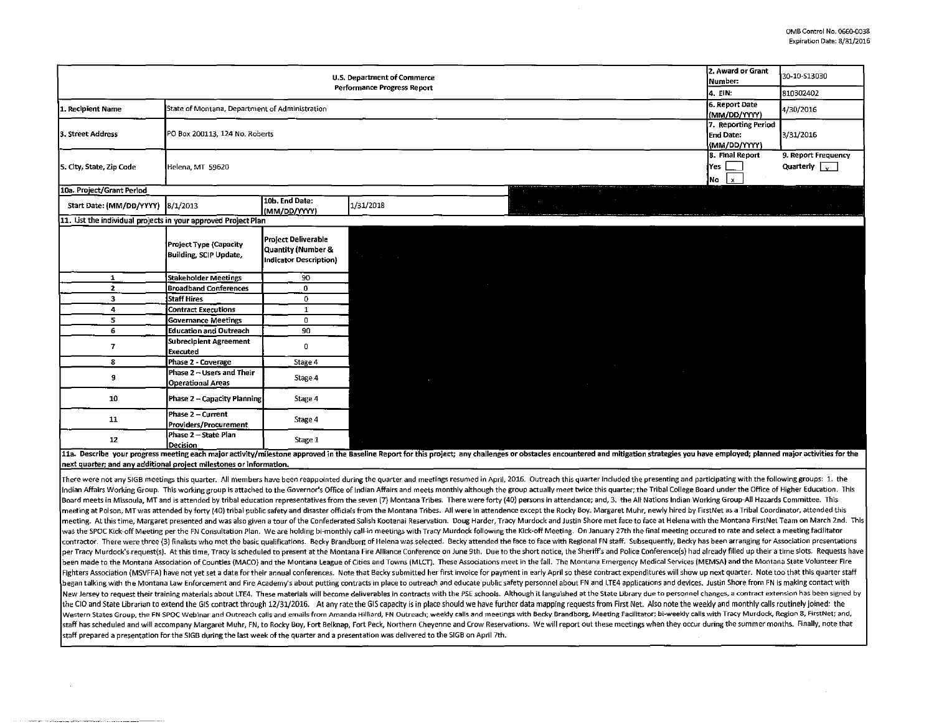| <b>U.S. Department of Commerce</b>                             |                                                       |                                                                            |                             |  |                                                                                                                       | 2. Award or Grant<br>lNumber:                           | 30-10-S13030                                |             |
|----------------------------------------------------------------|-------------------------------------------------------|----------------------------------------------------------------------------|-----------------------------|--|-----------------------------------------------------------------------------------------------------------------------|---------------------------------------------------------|---------------------------------------------|-------------|
|                                                                |                                                       |                                                                            | Performance Progress Report |  |                                                                                                                       |                                                         | 4. EIN:                                     | 810302402   |
| 1. Recipient Name                                              | State of Montana, Department of Administration        |                                                                            |                             |  |                                                                                                                       |                                                         | 6. Report Date<br>(MM/DD/YYYY)              | 4/30/2016   |
| 3. Street Address                                              | PO Box 200113, 124 No. Roberts                        |                                                                            |                             |  |                                                                                                                       | 7. Reporting Period<br>End Date:<br>(MM/DD/YYYY)        | 3/31/2016                                   |             |
| 5. City, State, Zip Code                                       | Helena, MT 59620                                      |                                                                            |                             |  |                                                                                                                       | 8. Final Report<br>lYes  <br>$\lfloor x \rfloor$<br>]No | 9. Report Frequency<br>Quarterly $\sqrt{ }$ |             |
| 10a. Project/Grant Period                                      |                                                       |                                                                            |                             |  | The Contract of the Contract of the<br>the contract of the contract of                                                |                                                         |                                             |             |
| Start Date: (MM/DD/YYYY) 8/1/2013                              |                                                       | 10b. End Date:<br>(MM/DD/YYYY)                                             | 1/31/2018                   |  | <u> Tanzania de la provincia de la provincia de la provincia de la provincia de la provincia de la provincia de l</u> |                                                         |                                             | All Gallery |
| 11. List the individual projects in your approved Project Plan |                                                       |                                                                            |                             |  |                                                                                                                       |                                                         |                                             |             |
|                                                                | Project Type (Capacity<br>Building, SCIP Update,      | <b>Project Deliverable</b><br>Quantity (Number &<br>Indicator Description) | the control of the control  |  |                                                                                                                       |                                                         | $\sim 10^{-11}$                             |             |
| 1                                                              | <b>Stakeholder Meetings</b>                           | 90                                                                         |                             |  |                                                                                                                       |                                                         |                                             |             |
| $\overline{2}$                                                 | <b>Broadband Conferences</b>                          | $\mathbf{0}$                                                               |                             |  |                                                                                                                       |                                                         |                                             |             |
| 3                                                              | Staff Hires                                           | $\mathbf{0}$                                                               |                             |  |                                                                                                                       |                                                         |                                             |             |
| 4                                                              | <b>Contract Executions</b>                            | $\mathbf{1}$                                                               |                             |  |                                                                                                                       |                                                         |                                             |             |
| 5                                                              | Governance Meetings                                   | $\mathbf{0}$                                                               |                             |  |                                                                                                                       |                                                         |                                             |             |
| 6                                                              | <b>Education and Outreach</b>                         | 90                                                                         |                             |  |                                                                                                                       |                                                         |                                             |             |
| $\overline{\mathbf{z}}$                                        | Subrecipient Agreement<br><b>Executed</b>             | 0                                                                          |                             |  |                                                                                                                       |                                                         |                                             |             |
| 8                                                              | Phase 2 - Coverage                                    | Stage 4                                                                    |                             |  |                                                                                                                       |                                                         |                                             |             |
| 9                                                              | Phase 2 - Users and Their<br><b>Operational Areas</b> | Stage 4                                                                    | $\sim$ $-$                  |  | $\sim 100$ km s $^{-1}$                                                                                               | <u> Andrew Hermann (</u>                                |                                             |             |
| 10                                                             | Phase 2 - Capacity Planning                           | Stage 4                                                                    |                             |  |                                                                                                                       |                                                         |                                             |             |
| 11                                                             | Phase 2 - Current<br>Providers/Procurement            | Stage 4                                                                    |                             |  |                                                                                                                       |                                                         |                                             |             |
| 12                                                             | Phase 2 - State Plan<br>Decision                      | Stage 1                                                                    |                             |  |                                                                                                                       |                                                         |                                             |             |

11a. Describe your progress meeting each major activity/milestone approved in the Baseline Report for this project; any challenges or obstacles encountered and mitigation strategies you have employed; planned major activit next quarter; and any additional project milestones or information.

There were not any SIGB meetings this quarter. All members have been reappointed during the quarter and meetings resumed in April, 2016. Outreach this quarter included the presenting and participating with the following gr Indian Affairs Working Group. This working group is attached to the Governor's Office of Indian Affairs and meets monthly although the group actually meet twice this quarter; the Tribal College Board under the Office of Hi Board meets in Missoula, MT and is attended by tribal education representatives from the seven (7) Montana Tribes. There were forty (40) persons in attendance; and, 3. the All Nations Indian Working Group-All Hazards Commi meeting at Polson, MT was attended by forty (40) tribal public safety and disaster officials from the Montana Tribes. All were in attendence except the Rocky Boy. Margaret Muhr, newly hired by FirstNet as a Tribal Coordina meeting. At this time, Margaret presented and was also given a tour of the Confederated Salish Kootenai Reservation. Doug Harder, Tracy Murdock and Justin Shore met face to face at Helena with the Montana FirstNet Team on was the SPOC Kick-off Meeting per the FN Consultation Plan. We are holding bi-monthly call-in meetings with Tracy Murdock following the Kick-off Meeting. On January 27th the final meeting occured to rate and select a meeti contractor. There were three (3) finalists who met the basic qualifications. Becky Brandborg of Helena was selected. Becky attended the face to face with Regional FN staff. Subsequently, Becky has been arranging for Associ per Tracy Murdock's request(s). At this time, Tracy is scheduled to present at the Montana Fire Alliance Conference on June 9th. Due to the short notice, the Sheriff's and Police Conference(s) had already filled up their a been made to the Montana Association of Counties (MACO) and the Montana League of Cities and Towns (MLCT). These Associations meet in the fall. The Montana Emergency Medical Services (MEMSA) and the Montana State Volunteer Fighters Association (MSVFFA) have not yet set a date for their annual conferences. Note that Becky submitted her first invoice for payment in early April so these contract expenditures will show up next quarter. Note too began talking with the Montana Law Enforcement and Fire Academy's about putting contracts in place to outreach and educate public safety personnel about FN and LTE4 applications and devices. Justin Shore from FN is making New Jersey to request their training materials about LTE4. These materials will become deliverables in contracts with the PSE schools. Although it languished at the State Library due to personnel changes, a contract extens the CIO and State Librarian to extend the GIS contract through 12/31/2016. At any rate the GIS capacity is in place should we have further data mapping requests from First Net. Also note the weekly and monthly calls routin Western States Group, the FN SPOC Webinar and Outreach calls and emails from Amanda Hilliard, FN Outreach; weekly calls and meetings with Becky Brandborg, Meeting Facilitator; bi-weekly calls with Tracy Murdock, Region 8, staff has scheduled and will accompany Margaret Muhr, FN, to Rocky Boy, Fort Belknap, Fort Peck, Northern Cheyenne and Crow Reservations. We will report out these meetings when they occur during the summer months. Finally, staff prepared a presentation for the SIGB during the last week of the quarter and a presentation was delivered to the SIGB on April 7th.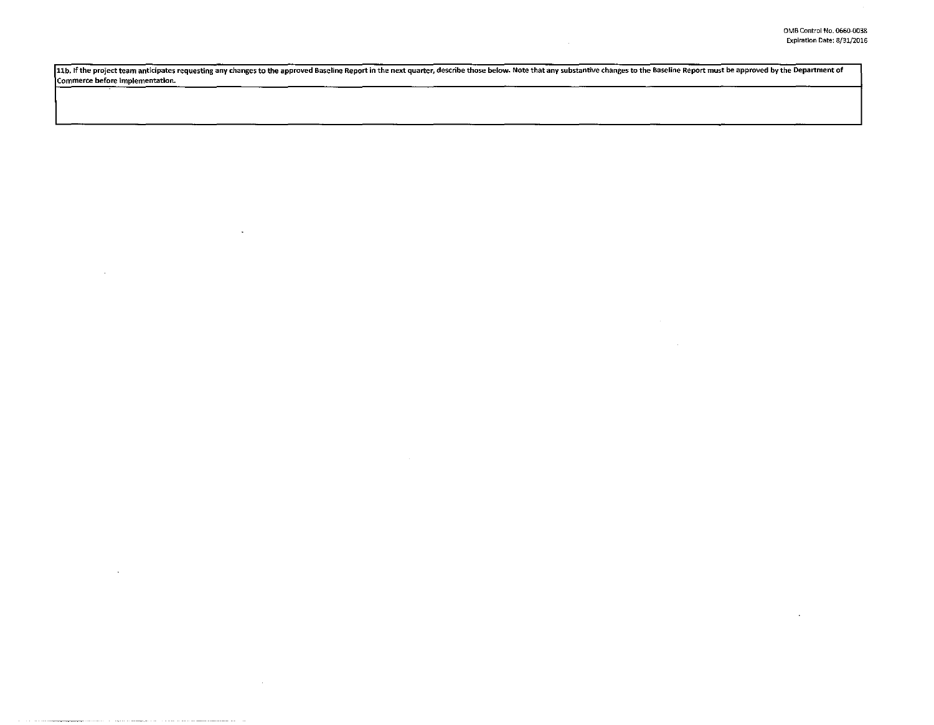$\sim$ 

11b. If the project team anticipates requesting any changes to the approved Baseline Report in the next quarter, describe those below. Note that any substantive changes to the Baseline Report must be approved by the Depart Commerce before implementation.

 $\sim$ 

 $\sim 10^{-1}$ 

 $\sim 10^{-1}$ 

 $\sim$ 

 $\sim$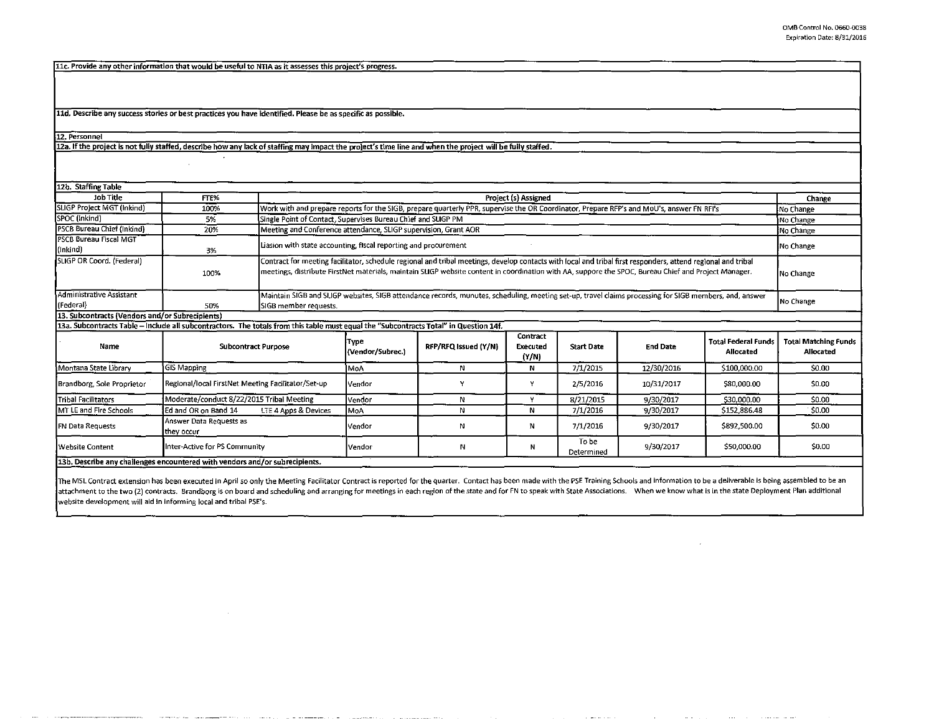11c. Provide any other information that would be useful to NTIA as it assesses this project's progress.

11d. Describe any success stories or best practices you have identified. Please be as specific as possible.

12. Personnel

12a. If the project is not fully staffed, describe how any lack of staffing may impact the project's time line and when the project will be fully staffed.

| 12b. Staffing Table                                                                                                                   |                                                    |                            |                                                                                                                                                                                                                                                                                                                                   |                      |                               |                     |                 |                                         |                                                 |  |  |
|---------------------------------------------------------------------------------------------------------------------------------------|----------------------------------------------------|----------------------------|-----------------------------------------------------------------------------------------------------------------------------------------------------------------------------------------------------------------------------------------------------------------------------------------------------------------------------------|----------------------|-------------------------------|---------------------|-----------------|-----------------------------------------|-------------------------------------------------|--|--|
| Job Title                                                                                                                             | FTE%                                               |                            | Project (s) Assigned                                                                                                                                                                                                                                                                                                              |                      |                               |                     |                 |                                         | Change                                          |  |  |
| SLIGP Project MGT (Inkind)                                                                                                            | 100%                                               |                            | Work with and prepare reports for the SIGB, prepare quarterly PPR, supervise the OR Coordinator, Prepare RFP's and MoU's, answer FN RFI's<br>No Change                                                                                                                                                                            |                      |                               |                     |                 |                                         |                                                 |  |  |
| SPOC (Inkind)                                                                                                                         | 5%                                                 |                            | Single Point of Contact, Supervises Bureau Chief and SLIGP PM<br>No Change                                                                                                                                                                                                                                                        |                      |                               |                     |                 |                                         |                                                 |  |  |
| <b>PSCB Bureau Chief (Inkind)</b>                                                                                                     | 20%                                                |                            | Meeting and Conference attendance, SLIGP supervision, Grant AOR<br>No Change                                                                                                                                                                                                                                                      |                      |                               |                     |                 |                                         |                                                 |  |  |
| PSCB Bureau Fiscal MGT<br>(Inkind)                                                                                                    | 3%                                                 |                            | Liasion with state accounting, fiscal reporting and procurement<br>No Change                                                                                                                                                                                                                                                      |                      |                               |                     |                 |                                         |                                                 |  |  |
| SLIGP OR Coord. (Federal)                                                                                                             | 100%                                               |                            | Contract for meeting facilitator, schedule regional and tribal meetings, develop contacts with local and tribal first responders, attend regional and tribal<br>meetings, distribute FirstNet materials, maintain SLIGP website content in coordination with AA, suppore the SPOC, Bureau Chief and Project Manager.<br>No Change |                      |                               |                     |                 |                                         |                                                 |  |  |
| Administrative Assistant                                                                                                              |                                                    |                            | Maintain SIGB and SLIGP websites, SIGB attendance records, munutes, scheduling, meeting set-up, travel claims processing for SIGB members, and, answer<br>No Change                                                                                                                                                               |                      |                               |                     |                 |                                         |                                                 |  |  |
| (Federal)                                                                                                                             | 50%                                                |                            | SIGB member requests.                                                                                                                                                                                                                                                                                                             |                      |                               |                     |                 |                                         |                                                 |  |  |
| 13. Subcontracts (Vendors and/or Subrecipients)                                                                                       |                                                    |                            |                                                                                                                                                                                                                                                                                                                                   |                      |                               |                     |                 |                                         |                                                 |  |  |
| 13a. Subcontracts Table - Include all subcontractors. The totals from this table must equal the "Subcontracts Total" in Question 14f. |                                                    |                            |                                                                                                                                                                                                                                                                                                                                   |                      |                               |                     |                 |                                         |                                                 |  |  |
| Name                                                                                                                                  |                                                    | <b>Subcontract Purpose</b> |                                                                                                                                                                                                                                                                                                                                   | RFP/RFQ Issued (Y/N) | Contract<br>Executed<br>(Y/N) | <b>Start Date</b>   | <b>End Date</b> | <b>Total Federal Funds</b><br>Allocated | <b>Total Matching Funds</b><br><b>Allocated</b> |  |  |
| Montana State Library                                                                                                                 | GIS Mapping                                        |                            | <b>IMoA</b>                                                                                                                                                                                                                                                                                                                       | N                    | N                             | 7/1/2015            | 12/30/2016      | \$100,000.00                            | \$0.00                                          |  |  |
| Brandborg, Sole Proprietor                                                                                                            | Regional/local FirstNet Meeting Facilitator/Set-up |                            | lVendor                                                                                                                                                                                                                                                                                                                           |                      |                               | 2/5/2016            | 10/31/2017      | \$80,000.00                             | \$0.00                                          |  |  |
| Tribal Facilitators                                                                                                                   | Moderate/conduct 8/22/2015 Tribal Meeting          |                            | Vendor                                                                                                                                                                                                                                                                                                                            | N                    | v                             | 8/21/2015           | 9/30/2017       | \$30,000.00                             | \$0.00                                          |  |  |
| MT LE and Fire Schools                                                                                                                | Ed and OR on Band 14                               | LTE 4 Apps & Devices       | <b>IMoA</b>                                                                                                                                                                                                                                                                                                                       | N                    | N                             | 7/1/2016            | 9/30/2017       | 5152,886.48                             | \$0.00                                          |  |  |
| <b>IFN Data Requests</b>                                                                                                              | Answer Data Requests as<br>they occur              |                            | lVendor i                                                                                                                                                                                                                                                                                                                         | И                    | N                             | 7/1/2016            | 9/30/2017       | \$892,500.00                            | \$0.00                                          |  |  |
| Website Content                                                                                                                       | Inter-Active for PS Community                      |                            | Vendor                                                                                                                                                                                                                                                                                                                            | Ν                    | N                             | To be<br>Determined | 9/30/2017       | \$50,000.00                             | \$0.00                                          |  |  |
| 13b. Describe any challenges encountered with vendors and/or subrecipients.                                                           |                                                    |                            |                                                                                                                                                                                                                                                                                                                                   |                      |                               |                     |                 |                                         |                                                 |  |  |
|                                                                                                                                       |                                                    |                            |                                                                                                                                                                                                                                                                                                                                   |                      |                               |                     |                 |                                         |                                                 |  |  |

The MSL Contract extension has been executed in April so only the Meeting Facilitator Contract is reported for the quarter. Contact has been made with the PSE Training Schools and information to be a deliverable is being a attachment to the two (2) contracts. Brandborg is on board and scheduling and arranging for meetings in each region of the state and for FN to speak with State Associations. When we know what is in the state Deployment Pla website development will aid in informing local and tribal PSE's.